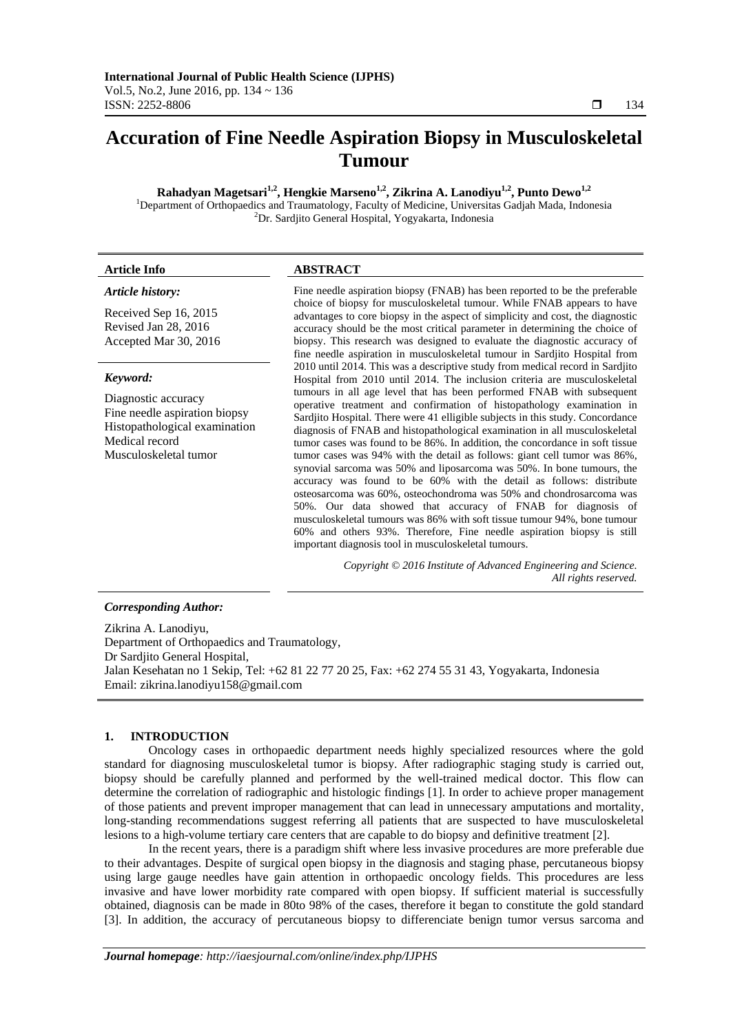# **Accuration of Fine Needle Aspiration Biopsy in Musculoskeletal Tumour**

**Rahadyan Magetsari<sup>1,2</sup>, Hengkie Marseno<sup>1,2</sup>, Zikrina A. Lanodiyu<sup>1,2</sup>, Punto Dewo<sup>1,2</sup><br><sup>1</sup>Department of Orthopaedics and Traumatology, Faculty of Medicine, Universitas Gadjah Mada, Indonesia** <sup>2</sup>Dr. Sardjito General Hospital, Yogyakarta, Indonesia

# **Article Info ABSTRACT**

#### *Article history:*

Received Sep 16, 2015 Revised Jan 28, 2016 Accepted Mar 30, 2016

# *Keyword:*

Diagnostic accuracy Fine needle aspiration biopsy Histopathological examination Medical record Musculoskeletal tumor

Fine needle aspiration biopsy (FNAB) has been reported to be the preferable choice of biopsy for musculoskeletal tumour. While FNAB appears to have advantages to core biopsy in the aspect of simplicity and cost, the diagnostic accuracy should be the most critical parameter in determining the choice of biopsy. This research was designed to evaluate the diagnostic accuracy of fine needle aspiration in musculoskeletal tumour in Sardjito Hospital from 2010 until 2014. This was a descriptive study from medical record in Sardjito Hospital from 2010 until 2014. The inclusion criteria are musculoskeletal tumours in all age level that has been performed FNAB with subsequent operative treatment and confirmation of histopathology examination in Sardjito Hospital. There were 41 elligible subjects in this study. Concordance diagnosis of FNAB and histopathological examination in all musculoskeletal tumor cases was found to be 86%. In addition, the concordance in soft tissue tumor cases was 94% with the detail as follows: giant cell tumor was 86%, synovial sarcoma was 50% and liposarcoma was 50%. In bone tumours, the accuracy was found to be 60% with the detail as follows: distribute osteosarcoma was 60%, osteochondroma was 50% and chondrosarcoma was 50%. Our data showed that accuracy of FNAB for diagnosis of musculoskeletal tumours was 86% with soft tissue tumour 94%, bone tumour 60% and others 93%. Therefore, Fine needle aspiration biopsy is still important diagnosis tool in musculoskeletal tumours.

> *Copyright © 2016 Institute of Advanced Engineering and Science. All rights reserved.*

# *Corresponding Author:*

Zikrina A. Lanodiyu, Department of Orthopaedics and Traumatology, Dr Sardjito General Hospital, Jalan Kesehatan no 1 Sekip, Tel: +62 81 22 77 20 25, Fax: +62 274 55 31 43, Yogyakarta, Indonesia Email: zikrina.lanodiyu158@gmail.com

#### **1. INTRODUCTION**

Oncology cases in orthopaedic department needs highly specialized resources where the gold standard for diagnosing musculoskeletal tumor is biopsy. After radiographic staging study is carried out, biopsy should be carefully planned and performed by the well-trained medical doctor. This flow can determine the correlation of radiographic and histologic findings [1]. In order to achieve proper management of those patients and prevent improper management that can lead in unnecessary amputations and mortality, long-standing recommendations suggest referring all patients that are suspected to have musculoskeletal lesions to a high-volume tertiary care centers that are capable to do biopsy and definitive treatment [2].

In the recent years, there is a paradigm shift where less invasive procedures are more preferable due to their advantages. Despite of surgical open biopsy in the diagnosis and staging phase, percutaneous biopsy using large gauge needles have gain attention in orthopaedic oncology fields. This procedures are less invasive and have lower morbidity rate compared with open biopsy. If sufficient material is successfully obtained, diagnosis can be made in 80to 98% of the cases, therefore it began to constitute the gold standard [3]. In addition, the accuracy of percutaneous biopsy to differenciate benign tumor versus sarcoma and

ֺֺ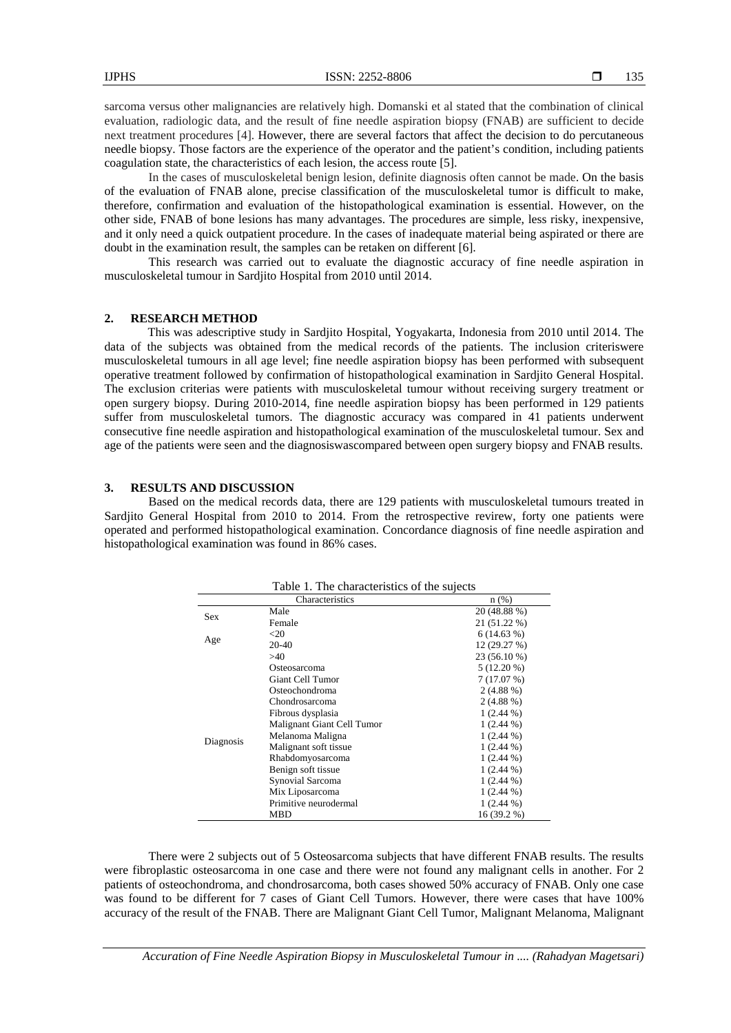sarcoma versus other malignancies are relatively high. Domanski et al stated that the combination of clinical evaluation, radiologic data, and the result of fine needle aspiration biopsy (FNAB) are sufficient to decide next treatment procedures [4]. However, there are several factors that affect the decision to do percutaneous needle biopsy. Those factors are the experience of the operator and the patient's condition, including patients coagulation state, the characteristics of each lesion, the access route [5].

In the cases of musculoskeletal benign lesion, definite diagnosis often cannot be made. On the basis of the evaluation of FNAB alone, precise classification of the musculoskeletal tumor is difficult to make, therefore, confirmation and evaluation of the histopathological examination is essential. However, on the other side, FNAB of bone lesions has many advantages. The procedures are simple, less risky, inexpensive, and it only need a quick outpatient procedure. In the cases of inadequate material being aspirated or there are doubt in the examination result, the samples can be retaken on different [6].

This research was carried out to evaluate the diagnostic accuracy of fine needle aspiration in musculoskeletal tumour in Sardjito Hospital from 2010 until 2014.

# **2. RESEARCH METHOD**

This was adescriptive study in Sardjito Hospital, Yogyakarta, Indonesia from 2010 until 2014. The data of the subjects was obtained from the medical records of the patients. The inclusion criteriswere musculoskeletal tumours in all age level; fine needle aspiration biopsy has been performed with subsequent operative treatment followed by confirmation of histopathological examination in Sardjito General Hospital. The exclusion criterias were patients with musculoskeletal tumour without receiving surgery treatment or open surgery biopsy. During 2010-2014, fine needle aspiration biopsy has been performed in 129 patients suffer from musculoskeletal tumors. The diagnostic accuracy was compared in 41 patients underwent consecutive fine needle aspiration and histopathological examination of the musculoskeletal tumour. Sex and age of the patients were seen and the diagnosiswascompared between open surgery biopsy and FNAB results.

### **3. RESULTS AND DISCUSSION**

Based on the medical records data, there are 129 patients with musculoskeletal tumours treated in Sardjito General Hospital from 2010 to 2014. From the retrospective revirew, forty one patients were operated and performed histopathological examination. Concordance diagnosis of fine needle aspiration and histopathological examination was found in 86% cases.

| Table 1. The characteristics of the sujects |                            |              |
|---------------------------------------------|----------------------------|--------------|
|                                             | Characteristics            | $n$ (%)      |
| <b>Sex</b>                                  | Male                       | 20 (48.88 %) |
|                                             | Female                     | 21 (51.22 %) |
| Age                                         | $<$ 20                     | $6(14.63\%)$ |
|                                             | 20-40                      | 12 (29.27 %) |
|                                             | >40                        | 23 (56.10 %) |
| Diagnosis                                   | Osteosarcoma               | $5(12.20\%)$ |
|                                             | <b>Giant Cell Tumor</b>    | 7(17.07%)    |
|                                             | Osteochondroma             | $2(4.88\%)$  |
|                                             | Chondrosarcoma             | $2(4.88\%)$  |
|                                             | Fibrous dysplasia          | $1(2.44\%)$  |
|                                             | Malignant Giant Cell Tumor | $1(2.44\%)$  |
|                                             | Melanoma Maligna           | $1(2.44\%)$  |
|                                             | Malignant soft tissue      | $1(2.44\%)$  |
|                                             | Rhabdomyosarcoma           | $1(2.44\%)$  |
|                                             | Benign soft tissue         | $1(2.44\%)$  |
|                                             | Synovial Sarcoma           | $1(2.44\%)$  |
|                                             | Mix Liposarcoma            | $1(2.44\%)$  |
|                                             | Primitive neurodermal      | $1(2.44\%)$  |
|                                             | MBD                        | 16 (39.2 %)  |

There were 2 subjects out of 5 Osteosarcoma subjects that have different FNAB results. The results were fibroplastic osteosarcoma in one case and there were not found any malignant cells in another. For 2 patients of osteochondroma, and chondrosarcoma, both cases showed 50% accuracy of FNAB. Only one case was found to be different for 7 cases of Giant Cell Tumors. However, there were cases that have 100% accuracy of the result of the FNAB. There are Malignant Giant Cell Tumor, Malignant Melanoma, Malignant